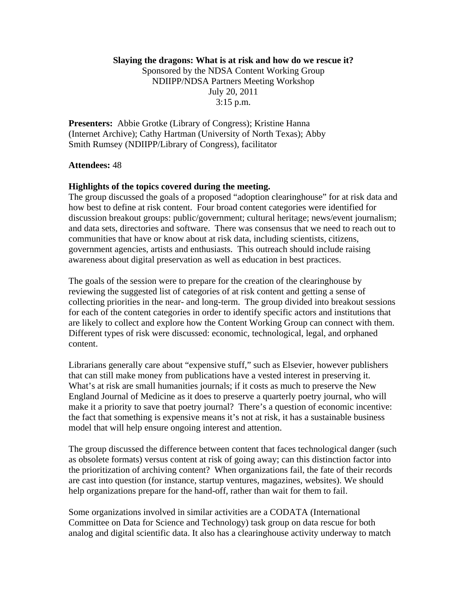## **Slaying the dragons: What is at risk and how do we rescue it?**

Sponsored by the NDSA Content Working Group NDIIPP/NDSA Partners Meeting Workshop July 20, 2011 3:15 p.m.

**Presenters:** Abbie Grotke (Library of Congress); Kristine Hanna (Internet Archive); Cathy Hartman (University of North Texas); Abby Smith Rumsey (NDIIPP/Library of Congress), facilitator

## **Attendees:** 48

## **Highlights of the topics covered during the meeting.**

The group discussed the goals of a proposed "adoption clearinghouse" for at risk data and how best to define at risk content. Four broad content categories were identified for discussion breakout groups: public/government; cultural heritage; news/event journalism; and data sets, directories and software. There was consensus that we need to reach out to communities that have or know about at risk data, including scientists, citizens, government agencies, artists and enthusiasts. This outreach should include raising awareness about digital preservation as well as education in best practices.

The goals of the session were to prepare for the creation of the clearinghouse by reviewing the suggested list of categories of at risk content and getting a sense of collecting priorities in the near- and long-term. The group divided into breakout sessions for each of the content categories in order to identify specific actors and institutions that are likely to collect and explore how the Content Working Group can connect with them. Different types of risk were discussed: economic, technological, legal, and orphaned content.

Librarians generally care about "expensive stuff," such as Elsevier, however publishers that can still make money from publications have a vested interest in preserving it. What's at risk are small humanities journals; if it costs as much to preserve the New England Journal of Medicine as it does to preserve a quarterly poetry journal, who will make it a priority to save that poetry journal? There's a question of economic incentive: the fact that something is expensive means it's not at risk, it has a sustainable business model that will help ensure ongoing interest and attention.

The group discussed the difference between content that faces technological danger (such as obsolete formats) versus content at risk of going away; can this distinction factor into the prioritization of archiving content? When organizations fail, the fate of their records are cast into question (for instance, startup ventures, magazines, websites). We should help organizations prepare for the hand-off, rather than wait for them to fail.

Some organizations involved in similar activities are a CODATA (International Committee on Data for Science and Technology) task group on data rescue for both analog and digital scientific data. It also has a clearinghouse activity underway to match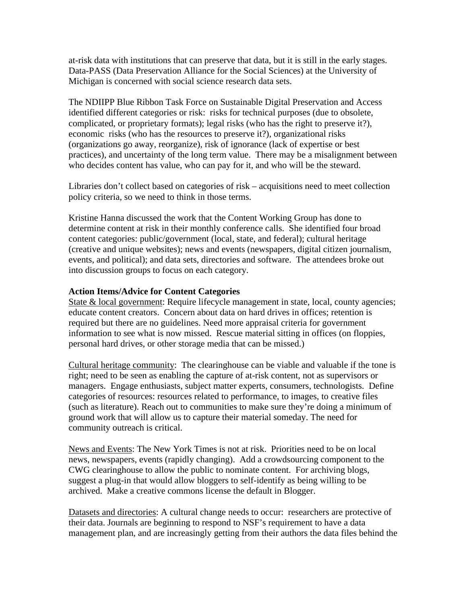at-risk data with institutions that can preserve that data, but it is still in the early stages. Data-PASS (Data Preservation Alliance for the Social Sciences) at the University of Michigan is concerned with social science research data sets.

The NDIIPP Blue Ribbon Task Force on Sustainable Digital Preservation and Access identified different categories or risk: risks for technical purposes (due to obsolete, complicated, or proprietary formats); legal risks (who has the right to preserve it?), economic risks (who has the resources to preserve it?), organizational risks (organizations go away, reorganize), risk of ignorance (lack of expertise or best practices), and uncertainty of the long term value. There may be a misalignment between who decides content has value, who can pay for it, and who will be the steward.

Libraries don't collect based on categories of risk – acquisitions need to meet collection policy criteria, so we need to think in those terms.

Kristine Hanna discussed the work that the Content Working Group has done to determine content at risk in their monthly conference calls. She identified four broad content categories: public/government (local, state, and federal); cultural heritage (creative and unique websites); news and events (newspapers, digital citizen journalism, events, and political); and data sets, directories and software. The attendees broke out into discussion groups to focus on each category.

## **Action Items/Advice for Content Categories**

State & local government: Require lifecycle management in state, local, county agencies; educate content creators. Concern about data on hard drives in offices; retention is required but there are no guidelines. Need more appraisal criteria for government information to see what is now missed. Rescue material sitting in offices (on floppies, personal hard drives, or other storage media that can be missed.)

Cultural heritage community: The clearinghouse can be viable and valuable if the tone is right; need to be seen as enabling the capture of at-risk content, not as supervisors or managers. Engage enthusiasts, subject matter experts, consumers, technologists. Define categories of resources: resources related to performance, to images, to creative files (such as literature). Reach out to communities to make sure they're doing a minimum of ground work that will allow us to capture their material someday. The need for community outreach is critical.

News and Events: The New York Times is not at risk. Priorities need to be on local news, newspapers, events (rapidly changing). Add a crowdsourcing component to the CWG clearinghouse to allow the public to nominate content. For archiving blogs, suggest a plug-in that would allow bloggers to self-identify as being willing to be archived. Make a creative commons license the default in Blogger.

Datasets and directories: A cultural change needs to occur: researchers are protective of their data. Journals are beginning to respond to NSF's requirement to have a data management plan, and are increasingly getting from their authors the data files behind the